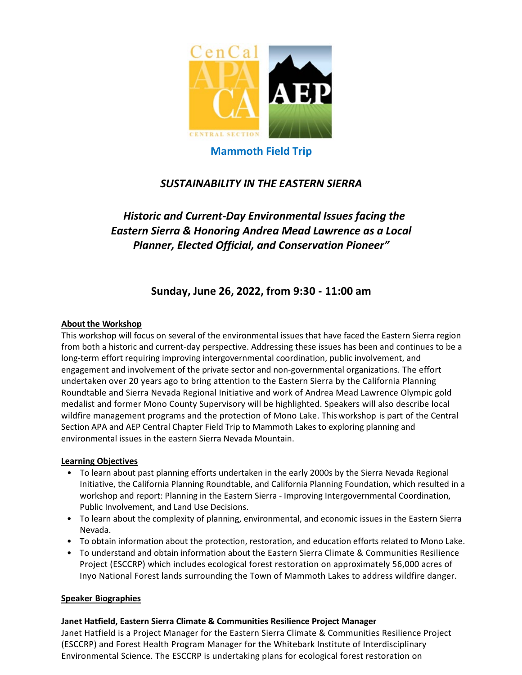

# **Mammoth Field Trip**

# *SUSTAINABILITY IN THE EASTERN SIERRA*

# *Historic and Current-Day Environmental Issues facing the Eastern Sierra & Honoring Andrea Mead Lawrence as a Local Planner, Elected Official, and Conservation Pioneer"*

# **Sunday, June 26, 2022, from 9:30 - 11:00 am**

### **About the Workshop**

This workshop will focus on several of the environmental issues that have faced the Eastern Sierra region from both a historic and current-day perspective. Addressing these issues has been and continues to be a long-term effort requiring improving intergovernmental coordination, public involvement, and engagement and involvement of the private sector and non-governmental organizations. The effort undertaken over 20 years ago to bring attention to the Eastern Sierra by the California Planning Roundtable and Sierra Nevada Regional Initiative and work of Andrea Mead Lawrence Olympic gold medalist and former Mono County Supervisory will be highlighted. Speakers will also describe local wildfire management programs and the protection of Mono Lake. Thisworkshop is part of the Central Section APA and AEP Central Chapter Field Trip to Mammoth Lakes to exploring planning and environmental issues in the eastern Sierra Nevada Mountain.

### **Learning Objectives**

- To learn about past planning efforts undertaken in the early 2000s by the Sierra Nevada Regional Initiative, the California Planning Roundtable, and California Planning Foundation, which resulted in a workshop and report: Planning in the Eastern Sierra - Improving Intergovernmental Coordination, Public Involvement, and Land Use Decisions.
- To learn about the complexity of planning, environmental, and economic issues in the Eastern Sierra Nevada.
- To obtain information about the protection, restoration, and education efforts related to Mono Lake.
- To understand and obtain information about the Eastern Sierra Climate & Communities Resilience Project (ESCCRP) which includes ecological forest restoration on approximately 56,000 acres of Inyo National Forest lands surrounding the Town of Mammoth Lakes to address wildfire danger.

## **Speaker Biographies**

## **Janet Hatfield, Eastern Sierra Climate & Communities Resilience Project Manager**

Janet Hatfield is a Project Manager for the Eastern Sierra Climate & Communities Resilience Project (ESCCRP) and Forest Health Program Manager for the Whitebark Institute of Interdisciplinary Environmental Science. The ESCCRP is undertaking plans for ecological forest restoration on